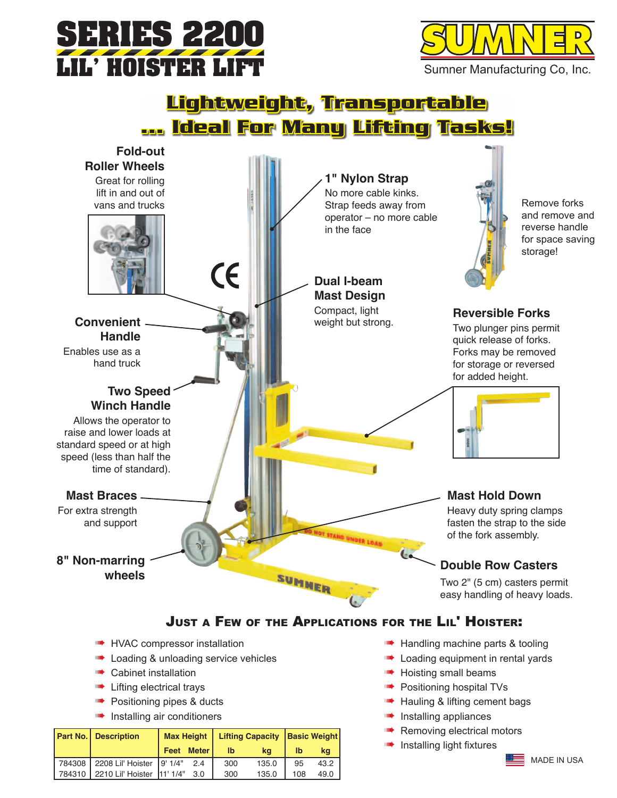



# <u>Lightweight, Transportable</u> ... Ideal For Many Lifting Tasks!



- Doading & unloading service vehicles
- **Cabinet installation**
- **In the Lifting electrical trays**
- Positioning pipes & ducts
- Installing air conditioners

| <b>Part No.   Description</b>         |      |              | Max Height   Lifting Capacity   Basic Weight |       |              |      |
|---------------------------------------|------|--------------|----------------------------------------------|-------|--------------|------|
|                                       | Feet | <b>Meter</b> | I <sub>b</sub>                               | ka    | $\mathbf{I}$ | ka   |
| 784308   2208 Lil' Hoister   9' 1/4"  |      | 24           | 300                                          | 135.0 | 95           | 43.2 |
| 784310   2210 Lil' Hoister   11' 1/4" |      | - 3.0        | 300                                          | 135.0 | 108          | 49.0 |

- Loading equipment in rental yards
- Hoisting small beams
- Positioning hospital TVs
- Hauling & lifting cement bags
- **IDENTIFY** Installing appliances
- Removing electrical motors
- **IDENTIFY** Installing light fixtures